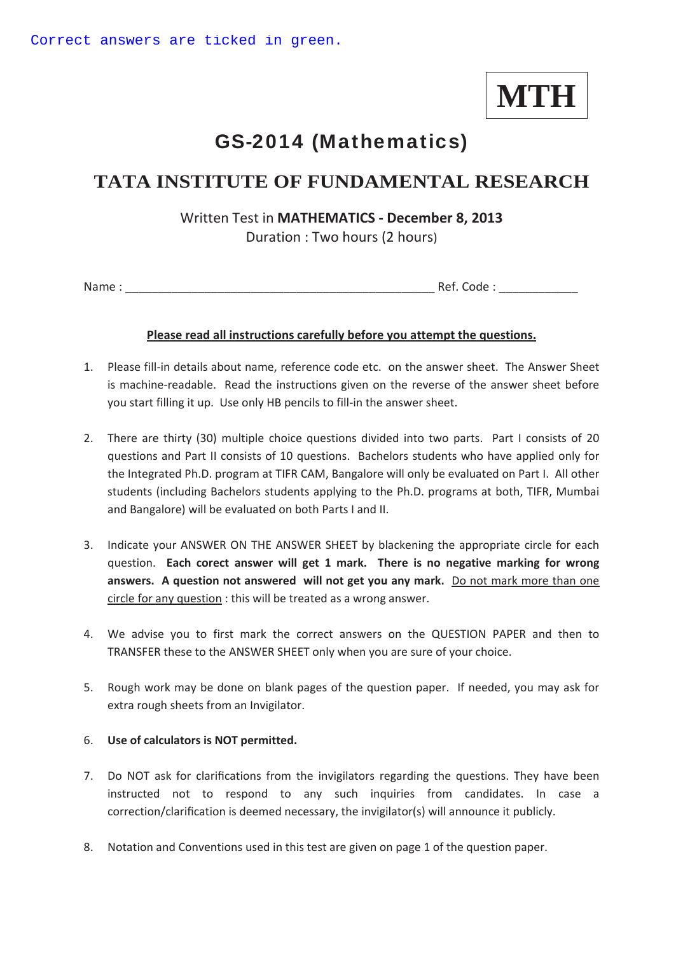# **MTH**

## GS-2014 (Mathematics)

### **TATA INSTITUTE OF FUNDAMENTAL RESEARCH**

**Written Test in MATHEMATICS - December 8, 2013** Duration : Two hours (2 hours)

Name : \_\_\_\_\_\_\_\_\_\_\_\_\_\_\_\_\_\_\_\_\_\_\_\_\_\_\_\_\_\_\_\_\_\_\_\_\_\_\_\_\_\_\_\_\_\_\_ Ref. Code : \_\_\_\_\_\_\_\_\_\_\_\_

#### **Please read all instructions carefully before you attempt the questions.**

- 1. Please fill-in details about name, reference code etc. on the answer sheet. The Answer Sheet is machine-readable. Read the instructions given on the reverse of the answer sheet before you start filling it up. Use only HB pencils to fill-in the answer sheet.
- 2. There are thirty (30) multiple choice questions divided into two parts. Part I consists of 20 questions and Part II consists of 10 questions. Bachelors students who have applied only for the Integrated Ph.D. program at TIFR CAM, Bangalore will only be evaluated on Part I. All other students (including Bachelors students applying to the Ph.D. programs at both, TIFR, Mumbai and Bangalore) will be evaluated on both Parts I and II.
- 3. Indicate your ANSWER ON THE ANSWER SHEET by blackening the appropriate circle for each question. **Each corect answer will get 1 mark. There is no negative marking for wrong answers.A question not answeredwill not get you any mark.**Do not mark more than one circle for any question : this will be treated as a wrong answer.
- 4. We advise you to first mark the correct answers on the QUESTION PAPER and then to TRANSFER these to the ANSWER SHEET only when you are sure of your choice.
- 5. Rough work may be done on blank pages of the question paper. If needed, you may ask for extra rough sheets from an Invigilator.

#### 6. **Use of calculators is NOT permitted.**

- 7. Do NOT ask for clarifications from the invigilators regarding the questions. They have been instructed not to respond to any such inquiries from candidates. In case a correction/clarification is deemed necessary, the invigilator(s) will announce it publicly.
- 8. Notation and Conventions used in this test are given on page 1 of the question paper.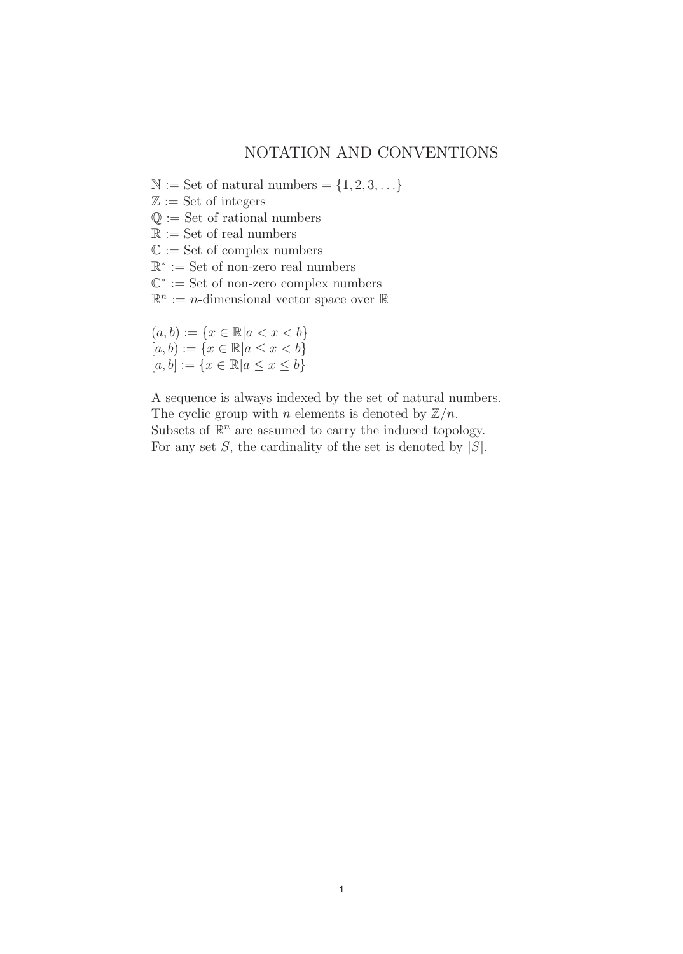#### NOTATION AND CONVENTIONS

 $\mathbb{N} :=$  Set of natural numbers =  $\{1, 2, 3, \ldots\}$ 

 $\mathbb{Z} :=$  Set of integers

 $\mathbb{Q} :=$  Set of rational numbers

 $\mathbb{R} :=$  Set of real numbers

 $\mathbb{C} :=$  Set of complex numbers

R<sup>∗</sup> := Set of non-zero real numbers

 $\mathbb{C}^* :=$  Set of non-zero complex numbers

 $\mathbb{R}^n := n$ -dimensional vector space over  $\mathbb{R}$ 

 $(a, b) := \{x \in \mathbb{R} | a < x < b\}$  $[a, b) := \{x \in \mathbb{R} | a \le x < b\}$  $[a, b] := \{x \in \mathbb{R} | a \le x \le b\}$ 

A sequence is always indexed by the set of natural numbers. The cyclic group with *n* elements is denoted by  $\mathbb{Z}/n$ . Subsets of  $\mathbb{R}^n$  are assumed to carry the induced topology. For any set  $S$ , the cardinality of the set is denoted by  $|S|$ .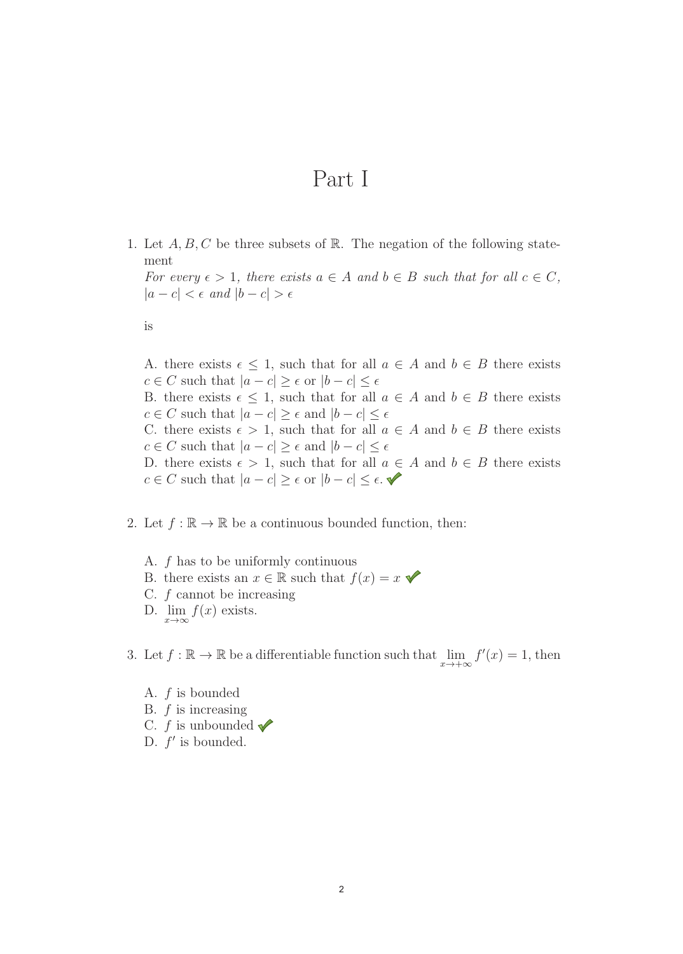## Part I

1. Let  $A, B, C$  be three subsets of R. The negation of the following statement

For every  $\epsilon > 1$ , there exists  $a \in A$  and  $b \in B$  such that for all  $c \in C$ ,  $|a - c| < \epsilon$  and  $|b - c| > \epsilon$ 

is

A. there exists  $\epsilon \leq 1$ , such that for all  $a \in A$  and  $b \in B$  there exists  $c \in C$  such that  $|a - c| \ge \epsilon$  or  $|b - c| \le \epsilon$ B. there exists  $\epsilon \leq 1$ , such that for all  $a \in A$  and  $b \in B$  there exists  $c \in C$  such that  $|a - c| \ge \epsilon$  and  $|b - c| \le \epsilon$ C. there exists  $\epsilon > 1$ , such that for all  $a \in A$  and  $b \in B$  there exists  $c \in C$  such that  $|a - c| \ge \epsilon$  and  $|b - c| \le \epsilon$ D. there exists  $\epsilon > 1$ , such that for all  $a \in A$  and  $b \in B$  there exists  $c \in C$  such that  $|a - c| \geq \epsilon$  or  $|b - c| \leq \epsilon$ .

2. Let  $f : \mathbb{R} \to \mathbb{R}$  be a continuous bounded function, then:

A. f has to be uniformly continuous B. there exists an  $x \in \mathbb{R}$  such that  $f(x) = x$ C.  $f$  cannot be increasing D.  $\lim_{x\to\infty}f(x)$  exists.

3. Let  $f : \mathbb{R} \to \mathbb{R}$  be a differentiable function such that  $\lim_{x \to +\infty} f'(x) = 1$ , then

A. f is bounded B.  $f$  is increasing C.  $f$  is unbounded  $\blacktriangledown$ D.  $f'$  is bounded.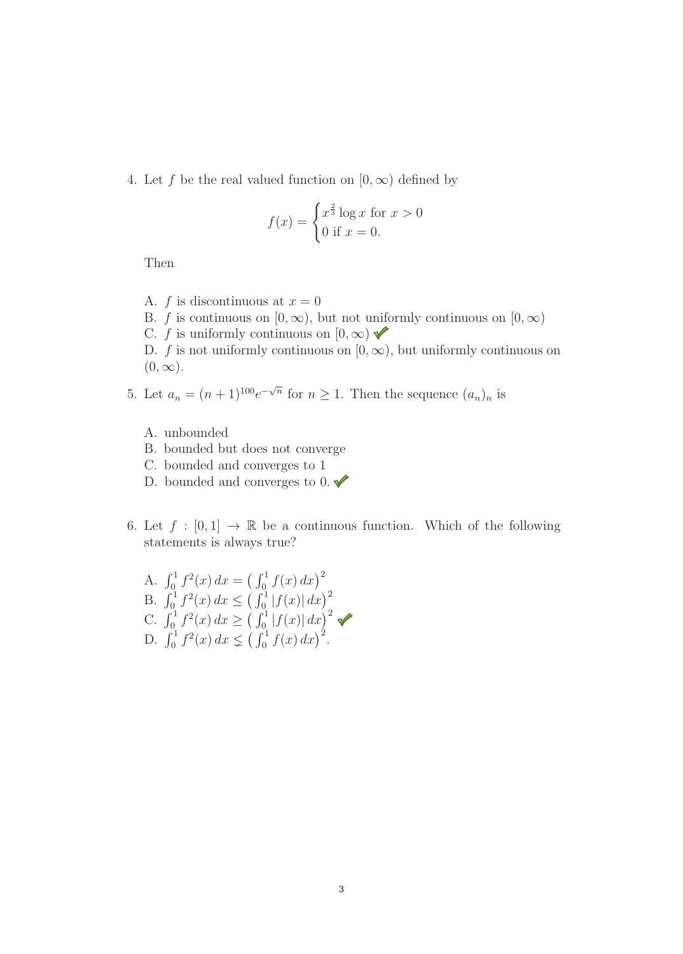4. Let f be the real valued function on  $[0, \infty)$  defined by

$$
f(x) = \begin{cases} x^{\frac{2}{3}} \log x & \text{for } x > 0\\ 0 & \text{if } x = 0. \end{cases}
$$

Then

- A. f is discontinuous at  $x = 0$
- B. f is continuous on  $[0, \infty)$ , but not uniformly continuous on  $[0, \infty)$
- C. f is uniformly continuous on  $[0, \infty)$
- D. f is not uniformly continuous on  $[0, \infty)$ , but uniformly continuous on  $(0, \infty)$ .
- 5. Let  $a_n = (n+1)^{100} e^{-\sqrt{n}}$  for  $n \ge 1$ . Then the sequence  $(a_n)_n$  is
	- A. unbounded
	- B. bounded but does not converge
	- C. bounded and converges to 1
	- D. bounded and converges to 0.  $\blacklozenge$
- 6. Let  $f : [0,1] \rightarrow \mathbb{R}$  be a continuous function. Which of the following statements is always true?

A. 
$$
\int_0^1 f^2(x) dx = \left(\int_0^1 f(x) dx\right)^2
$$
  
\nB. 
$$
\int_0^1 f^2(x) dx \le \left(\int_0^1 |f(x)| dx\right)^2
$$
  
\nC. 
$$
\int_0^1 f^2(x) dx \ge \left(\int_0^1 |f(x)| dx\right)^2
$$
  
\nD. 
$$
\int_0^1 f^2(x) dx \le \left(\int_0^1 f(x) dx\right)^2
$$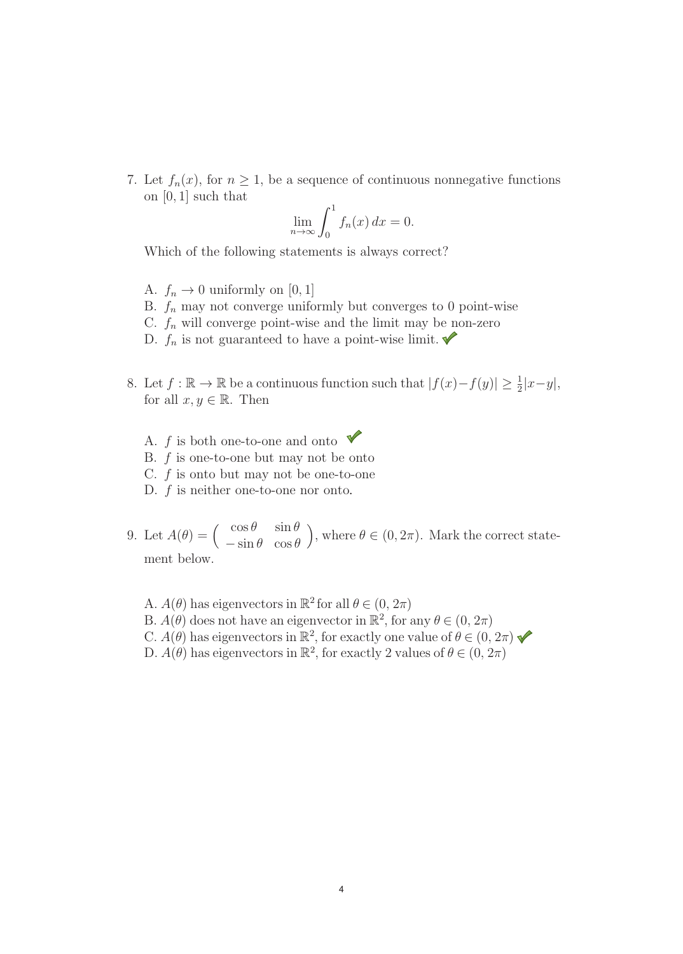7. Let  $f_n(x)$ , for  $n \geq 1$ , be a sequence of continuous nonnegative functions on [0, 1] such that

$$
\lim_{n \to \infty} \int_0^1 f_n(x) \, dx = 0.
$$

Which of the following statements is always correct?

- A.  $f_n \to 0$  uniformly on [0, 1]
- B.  $f_n$  may not converge uniformly but converges to 0 point-wise
- C.  $f_n$  will converge point-wise and the limit may be non-zero
- D.  $f_n$  is not guaranteed to have a point-wise limit.
- 8. Let  $f: \mathbb{R} \to \mathbb{R}$  be a continuous function such that  $|f(x)-f(y)| \geq \frac{1}{2}|x-y|$ , for all  $x, y \in \mathbb{R}$ . Then
	- A.  $f$  is both one-to-one and onto B. f is one-to-one but may not be onto C. f is onto but may not be one-to-one
	- D.  $f$  is neither one-to-one nor onto.
- 9. Let  $A(\theta) = \begin{pmatrix} \cos \theta & \sin \theta \\ \sin \theta & \cos \theta \end{pmatrix}$  $-\sin\theta \quad \cos\theta$ ), where  $\theta \in (0, 2\pi)$ . Mark the correct statement below.
	- A.  $A(\theta)$  has eigenvectors in  $\mathbb{R}^2$  for all  $\theta \in (0, 2\pi)$ B.  $A(\theta)$  does not have an eigenvector in  $\mathbb{R}^2$ , for any  $\theta \in (0, 2\pi)$ C.  $A(\theta)$  has eigenvectors in  $\mathbb{R}^2$ , for exactly one value of  $\theta \in (0, 2\pi)$ D.  $A(\theta)$  has eigenvectors in  $\mathbb{R}^2$ , for exactly 2 values of  $\theta \in (0, 2\pi)$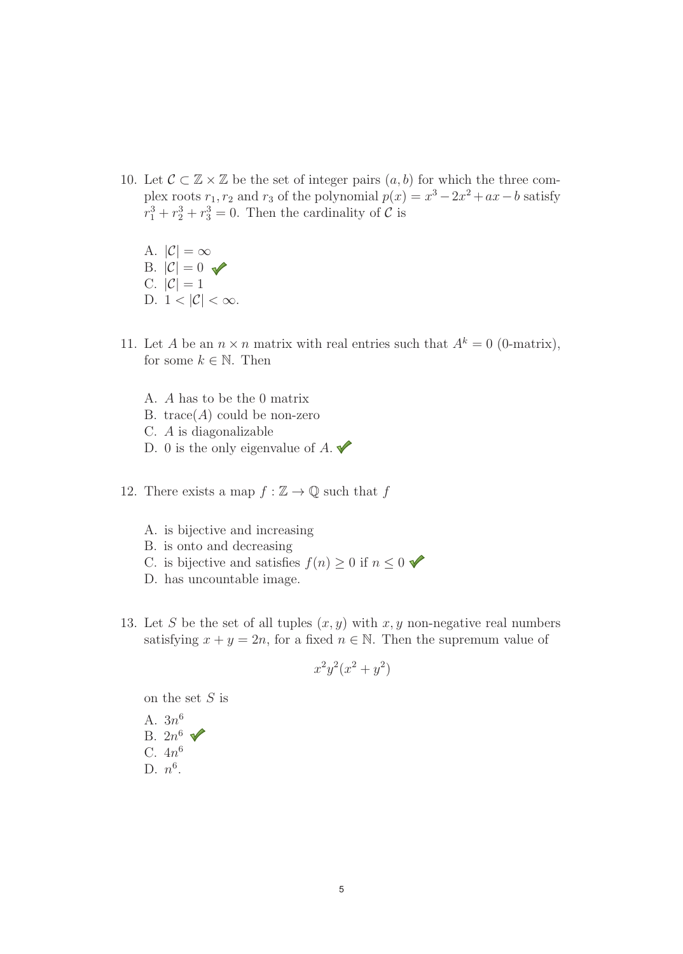- 10. Let  $\mathcal{C} \subset \mathbb{Z} \times \mathbb{Z}$  be the set of integer pairs  $(a, b)$  for which the three complex roots  $r_1, r_2$  and  $r_3$  of the polynomial  $p(x) = x^3 - 2x^2 + ax - b$  satisfy  $r_1^3 + r_2^3 + r_3^3 = 0$ . Then the cardinality of  $\mathcal{C}$  is
	- A.  $|\mathcal{C}| = \infty$ B.  $|\mathcal{C}| = 0$ C.  $|\mathcal{C}|=1$ D.  $1 < |\mathcal{C}| < \infty$ .
- 11. Let A be an  $n \times n$  matrix with real entries such that  $A^k = 0$  (0-matrix), for some  $k \in \mathbb{N}$ . Then
	- A. A has to be the 0 matrix
	- B. trace( $A$ ) could be non-zero
	- C. A is diagonalizable
	- D. 0 is the only eigenvalue of  $A$ .
- 12. There exists a map  $f : \mathbb{Z} \to \mathbb{Q}$  such that f
	- A. is bijective and increasing
	- B. is onto and decreasing
	- C. is bijective and satisfies  $f(n) \geq 0$  if  $n \leq 0$
	- D. has uncountable image.
- 13. Let S be the set of all tuples  $(x, y)$  with  $x, y$  non-negative real numbers satisfying  $x + y = 2n$ , for a fixed  $n \in \mathbb{N}$ . Then the supremum value of

$$
x^2y^2(x^2+y^2)
$$

on the set  $S$  is

A. 
$$
3n^6
$$
  
B.  $2n^6$   
C.  $4n^6$   
D.  $n^6$ .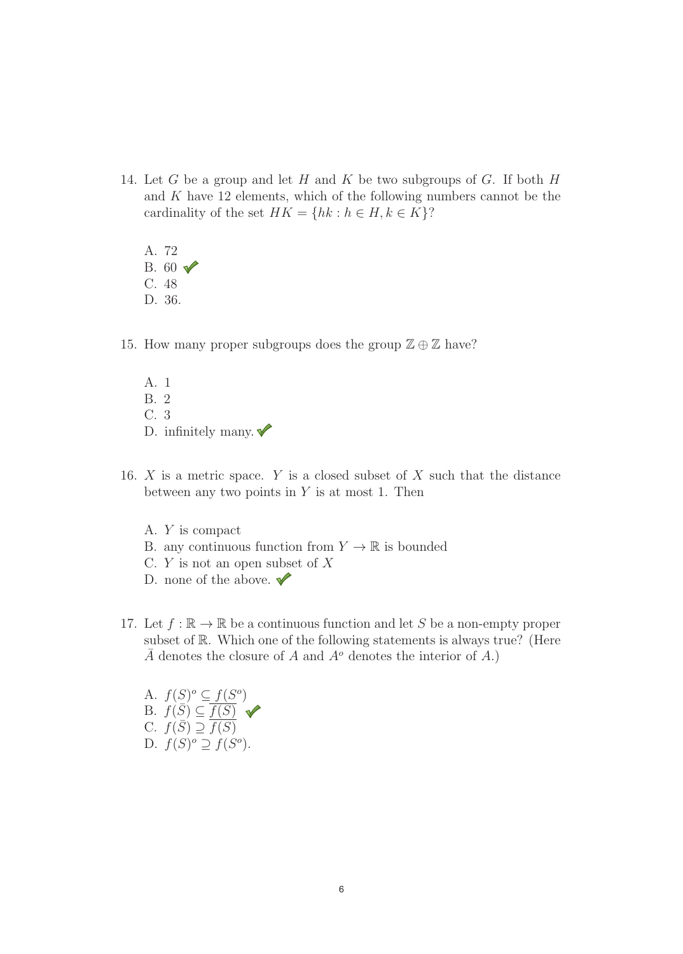- 14. Let G be a group and let H and K be two subgroups of G. If both  $H$ and K have 12 elements, which of the following numbers cannot be the cardinality of the set  $HK = \{hk : h \in H, k \in K\}$ ?
	- A. 72 B.  $60 \sqrt{ }$ C. 48 D. 36.
- 15. How many proper subgroups does the group  $\mathbb{Z} \oplus \mathbb{Z}$  have?
	- A. 1 B. 2 C. 3 D. infinitely many.  $\blacktriangledown$
- 16.  $X$  is a metric space.  $Y$  is a closed subset of  $X$  such that the distance between any two points in  $Y$  is at most 1. Then
	- A. Y is compact
	- B. any continuous function from  $Y \to \mathbb{R}$  is bounded
	- C.  $Y$  is not an open subset of  $X$
	- D. none of the above.  $\blacktriangledown$
- 17. Let  $f : \mathbb{R} \to \mathbb{R}$  be a continuous function and let S be a non-empty proper subset of R. Which one of the following statements is always true? (Here  $\overline{A}$  denotes the closure of A and  $A^o$  denotes the interior of A.)

A.  $f(S)^{o} \subseteq f(S^{o})$ B.  $f(\overline{S}) \subseteq \overline{f(S)}$ C.  $f(\overline{S}) \supseteq \overline{f(S)}$ D.  $f(S)^o \supseteq f(S^o)$ .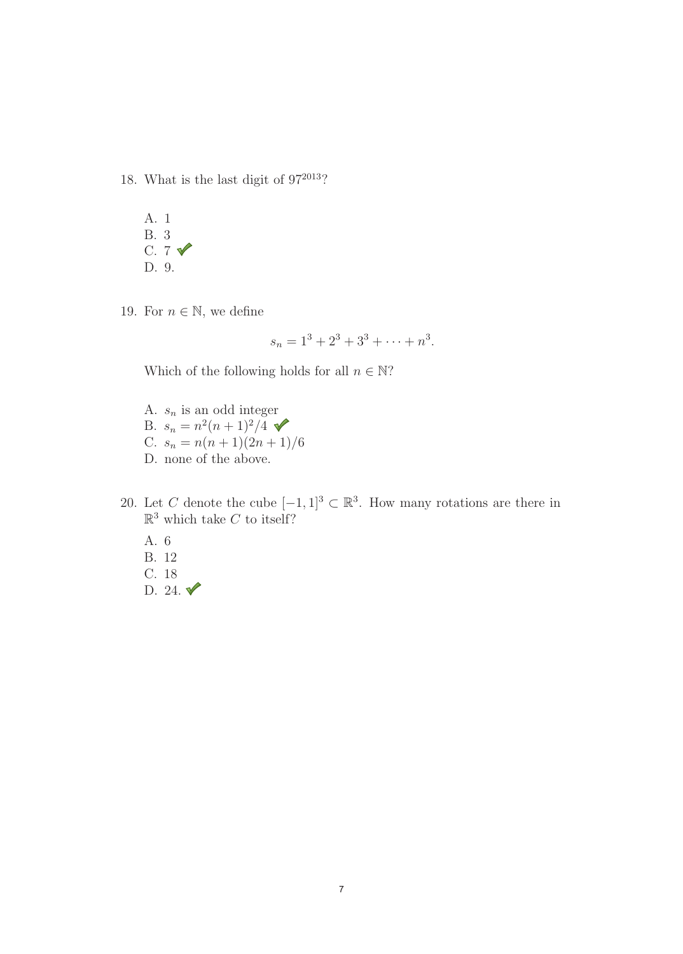18. What is the last digit of  $97^{2013}$ ?



19. For  $n \in \mathbb{N}$ , we define

$$
s_n = 1^3 + 2^3 + 3^3 + \dots + n^3.
$$

Which of the following holds for all  $n \in \mathbb{N}$ ?

- A.  $s_n$  is an odd integer B.  $s_n = n^2(n+1)^2/4$   $\blacktriangleright$ C.  $s_n = n(n+1)(2n+1)/6$ D. none of the above.
- 20. Let C denote the cube  $[-1, 1]^3 \subset \mathbb{R}^3$ . How many rotations are there in  $\mathbb{R}^3$  which take C to itself?
	- A. 6 B. 12 C. 18 D. 24.  $\sqrt{\phantom{0}}$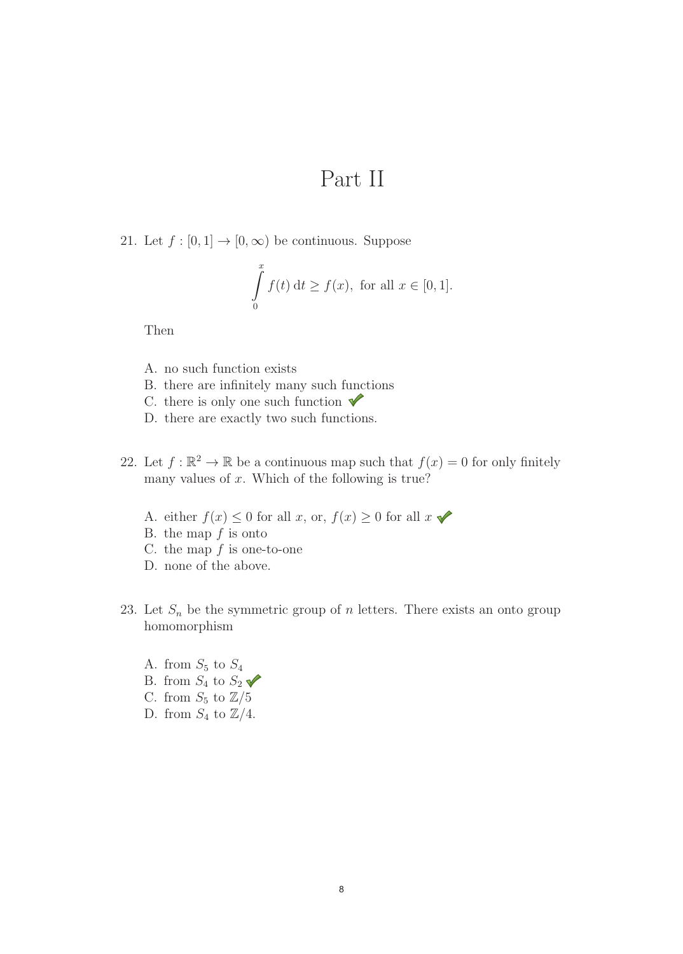## Part II

21. Let  $f : [0, 1] \rightarrow [0, \infty)$  be continuous. Suppose

$$
\int_{0}^{x} f(t) dt \ge f(x), \text{ for all } x \in [0, 1].
$$

Then

- A. no such function exists
- B. there are infinitely many such functions
- C. there is only one such function  $\blacktriangledown$
- D. there are exactly two such functions.
- 22. Let  $f : \mathbb{R}^2 \to \mathbb{R}$  be a continuous map such that  $f(x) = 0$  for only finitely many values of  $x$ . Which of the following is true?
	- A. either  $f(x) \leq 0$  for all x, or,  $f(x) \geq 0$  for all  $x \blacktriangleright$
	- B. the map  $f$  is onto
	- C. the map  $f$  is one-to-one
	- D. none of the above.
- 23. Let  $S_n$  be the symmetric group of n letters. There exists an onto group homomorphism
	- A. from  $S_5$  to  $S_4$ B. from  $S_4$  to  $S_2$   $\blacktriangleright$
	- C. from  $S_5$  to  $\mathbb{Z}/5$
	- D. from  $S_4$  to  $\mathbb{Z}/4$ .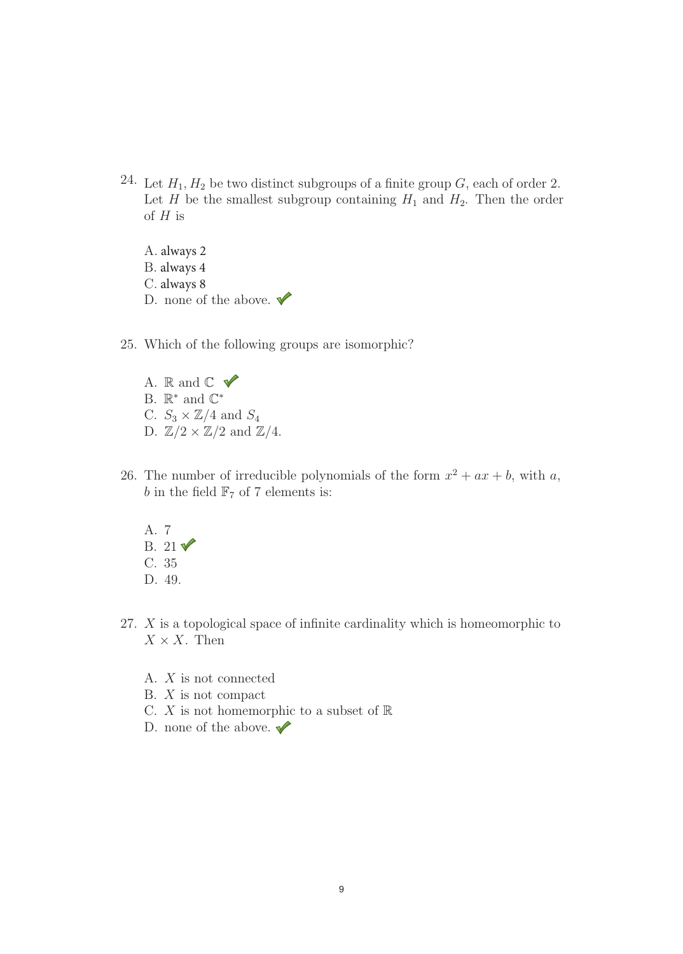- 24. Let  $H_1, H_2$  be two distinct subgroups of a finite group G, each of order 2. Let H be the smallest subgroup containing  $H_1$  and  $H_2$ . Then the order of  $H$  is
	- A. always 2 B. always 4 C. always 8 D. none of the above.  $\blacktriangledown$
- 25. Which of the following groups are isomorphic?
	- A. R and  $\mathbb{C}$   $\checkmark$ B.  $\mathbb{R}^*$  and  $\mathbb{C}^*$ C.  $S_3 \times \mathbb{Z}/4$  and  $S_4$ D.  $\mathbb{Z}/2 \times \mathbb{Z}/2$  and  $\mathbb{Z}/4$ .
- 26. The number of irreducible polynomials of the form  $x^2 + ax + b$ , with a, b in the field  $\mathbb{F}_7$  of 7 elements is:
	- A. 7 B.  $21\sqrt{ }$ C. 35 D. 49.
- 27. X is a topological space of infinite cardinality which is homeomorphic to  $X \times X$ . Then
	- A. X is not connected
	- B. X is not compact
	- C.  $X$  is not homemorphic to a subset of  $\mathbb R$
	- D. none of the above.  $\blacktriangledown$